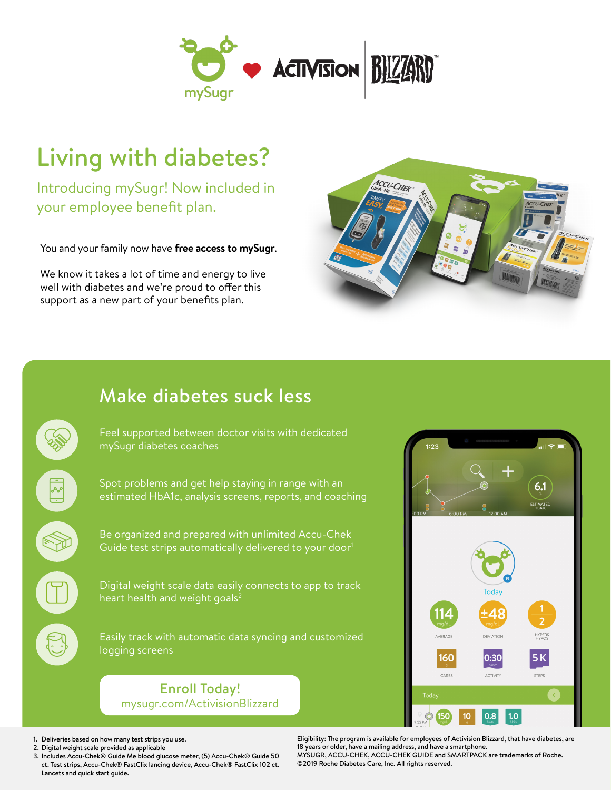

## Living with diabetes?

Introducing mySugr! Now included in your employee benefit plan.

You and your family now have **free access to mySugr**.

We know it takes a lot of time and energy to live well with diabetes and we're proud to offer this support as a new part of your benefits plan.



## Make diabetes suck less

Feel supported between doctor visits with dedicated mySugr diabetes coaches

Spot problems and get help staying in range with an estimated HbA1c, analysis screens, reports, and coaching

Be organized and prepared with unlimited Accu-Chek Guide test strips automatically delivered to your door<sup>1</sup>

Digital weight scale data easily connects to app to track heart health and weight goals<sup>2</sup>

Easily track with automatic data syncing and customized logging screens

Enroll Today! mysugr.com/ActivisionBlizzard



- 1. Deliveries based on how many test strips you use.
- 2. Digital weight scale provided as applicable
- 3. Includes Accu-Chek® Guide Me blood glucose meter, (5) Accu-Chek® Guide 50 ct. Test strips, Accu-Chek® FastClix lancing device, Accu-Chek® FastClix 102 ct. Lancets and quick start guide.

Eligibility: The program is available for employees of Activision Blizzard, that have diabetes, are 18 years or older, have a mailing address, and have a smartphone. MYSUGR, ACCU-CHEK, ACCU-CHEK GUIDE and SMARTPACK are trademarks of Roche. ©2019 Roche Diabetes Care, Inc. All rights reserved.